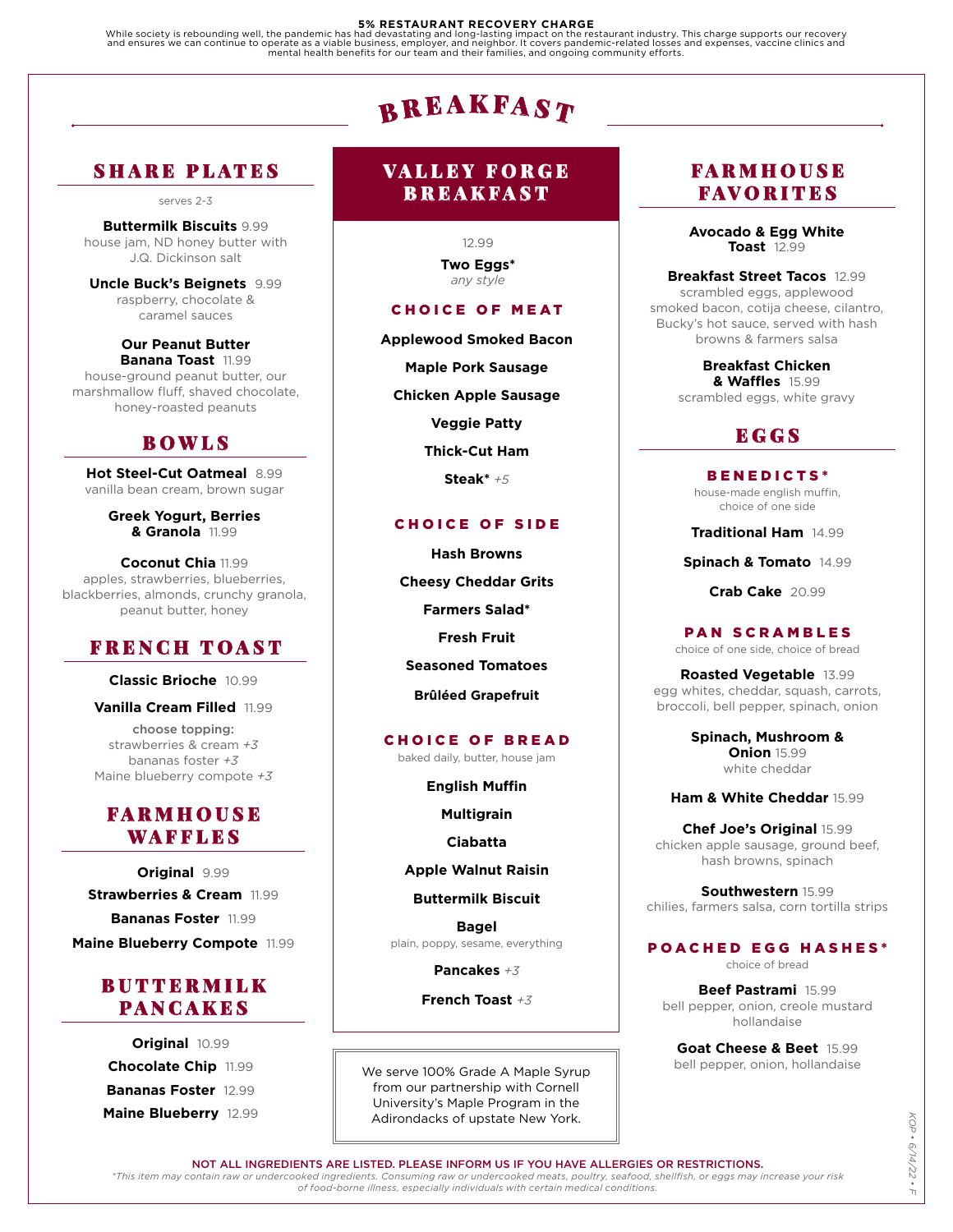#### **5% RESTAURANT RECOVERY CHARGE**

While society is rebounding well, the pandemic has had devastating and long-lasting impact on the restaurant industry. This charge supports our recovery<br>and ensures we can continue to operate as a viable business, employer

# $\mathbf{B}$ REAKFAST

# SHARE PLATES

serves 2-3

#### **Buttermilk Biscuits** 9.99 house jam, ND honey butter with J.Q. Dickinson salt

**Uncle Buck's Beignets** 9.99 raspberry, chocolate & caramel sauces

**Our Peanut Butter Banana Toast** 11.99 house-ground peanut butter, our marshmallow fluff, shaved chocolate, honey-roasted peanuts

# BOWLS

**Hot Steel-Cut Oatmeal** 8.99 vanilla bean cream, brown sugar

> **Greek Yogurt, Berries & Granola** 11.99

**Coconut Chia** 11.99 apples, strawberries, blueberries, blackberries, almonds, crunchy granola, peanut butter, honey

# FRENCH TOAST

**Classic Brioche** 10.99

**Vanilla Cream Filled** 11.99

choose topping: strawberries & cream *+3* bananas foster *+3* Maine blueberry compote *+3*

# FARMHOUSE WAFFLES

**Original** 9.99 **Strawberries & Cream** 11.99 **Bananas Foster** 11.99 **Maine Blueberry Compote** 11.99

# BUTTERMILK PANCAKES

**Original** 10.99 **Chocolate Chip** 11.99 **Bananas Foster** 12.99 **Maine Blueberry** 12.99

# VALLEY FORGE BREAKFAST

12.99 **Two Eggs\*** *any style*

# CHOICE OF MEAT

**Applewood Smoked Bacon**

**Maple Pork Sausage**

**Chicken Apple Sausage**

**Veggie Patty**

**Thick-Cut Ham**

**Steak\*** *+5*

# CHOICE OF SIDE

**Hash Browns Cheesy Cheddar Grits Farmers Salad\* Fresh Fruit Seasoned Tomatoes Brûléed Grapefruit**

# CHOICE OF BREAD

baked daily, butter, house jam

**English Muffin**

**Multigrain**

**Ciabatta**

**Apple Walnut Raisin**

**Buttermilk Biscuit**

**Bagel** plain, poppy, sesame, everything

**Pancakes** *+3*

**French Toast** *+3*

We serve 100% Grade A Maple Syrup from our partnership with Cornell University's Maple Program in the Adirondacks of upstate New York.

# FARMHOUSE FAVORITES

**Avocado & Egg White Toast** 12.99

**Breakfast Street Tacos** 12.99 scrambled eggs, applewood smoked bacon, cotija cheese, cilantro, Bucky's hot sauce, served with hash browns & farmers salsa

> **Breakfast Chicken & Waffles** 15.99 scrambled eggs, white gravy

# **EGGS**

BENEDICTS\* house-made english muffin, choice of one side

**Traditional Ham** 14.99

**Spinach & Tomato** 14.99

**Crab Cake** 20.99

PAN SCRAMBLES choice of one side, choice of bread

**Roasted Vegetable** 13.99 egg whites, cheddar, squash, carrots, broccoli, bell pepper, spinach, onion

> **Spinach, Mushroom & Onion** 15.99 white cheddar

**Ham & White Cheddar** 15.99

**Chef Joe's Original** 15.99 chicken apple sausage, ground beef, hash browns, spinach

**Southwestern** 15.99 chilies, farmers salsa, corn tortilla strips

# POACHED EGG HASHES\*

choice of bread

**Beef Pastrami** 15.99 bell pepper, onion, creole mustard hollandaise

**Goat Cheese & Beet** 15.99 bell pepper, onion, hollandaise

NOT ALL INGREDIENTS ARE LISTED. PLEASE INFORM US IF YOU HAVE ALLERGIES OR RESTRICTIONS.

*\*This item may contain raw or undercooked ingredients. Consuming raw or undercooked meats, poultry, seafood, shellfish, or eggs may increase your risk of food-borne illness, especially individuals with certain medical conditions.*